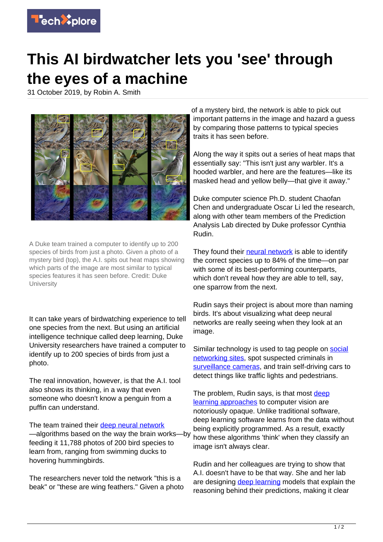

## **This AI birdwatcher lets you 'see' through the eyes of a machine**

31 October 2019, by Robin A. Smith



A Duke team trained a computer to identify up to 200 species of birds from just a photo. Given a photo of a mystery bird (top), the A.I. spits out heat maps showing which parts of the image are most similar to typical species features it has seen before. Credit: Duke **University** 

It can take years of birdwatching experience to tell one species from the next. But using an artificial intelligence technique called deep learning, Duke University researchers have trained a computer to identify up to 200 species of birds from just a photo.

The real innovation, however, is that the A.I. tool also shows its thinking, in a way that even someone who doesn't know a penguin from a puffin can understand.

The team trained their [deep neural network](https://techxplore.com/tags/deep+neural+network/) —algorithms based on the way the brain works—by feeding it 11,788 photos of 200 bird species to learn from, ranging from swimming ducks to hovering hummingbirds.

The researchers never told the network "this is a beak" or "these are wing feathers." Given a photo of a mystery bird, the network is able to pick out important patterns in the image and hazard a guess by comparing those patterns to typical species traits it has seen before.

Along the way it spits out a series of heat maps that essentially say: "This isn't just any warbler. It's a hooded warbler, and here are the features—like its masked head and yellow belly—that give it away."

Duke computer science Ph.D. student Chaofan Chen and undergraduate Oscar Li led the research, along with other team members of the Prediction Analysis Lab directed by Duke professor Cynthia Rudin.

They found their [neural network](https://techxplore.com/tags/neural+network/) is able to identify the correct species up to 84% of the time—on par with some of its best-performing counterparts, which don't reveal how they are able to tell, say, one sparrow from the next.

Rudin says their project is about more than naming birds. It's about visualizing what deep neural networks are really seeing when they look at an image.

Similar technology is used to tag people on [social](https://techxplore.com/tags/social+networking+sites/) [networking sites](https://techxplore.com/tags/social+networking+sites/), spot suspected criminals in [surveillance cameras,](https://techxplore.com/tags/surveillance+cameras/) and train self-driving cars to detect things like traffic lights and pedestrians.

The problem, Rudin says, is that most [deep](https://techxplore.com/tags/deep+learning+approaches/) [learning approaches](https://techxplore.com/tags/deep+learning+approaches/) to computer vision are notoriously opaque. Unlike traditional software, deep learning software learns from the data without being explicitly programmed. As a result, exactly how these algorithms 'think' when they classify an image isn't always clear.

Rudin and her colleagues are trying to show that A.I. doesn't have to be that way. She and her lab are designing [deep learning](https://techxplore.com/tags/deep+learning/) models that explain the reasoning behind their predictions, making it clear